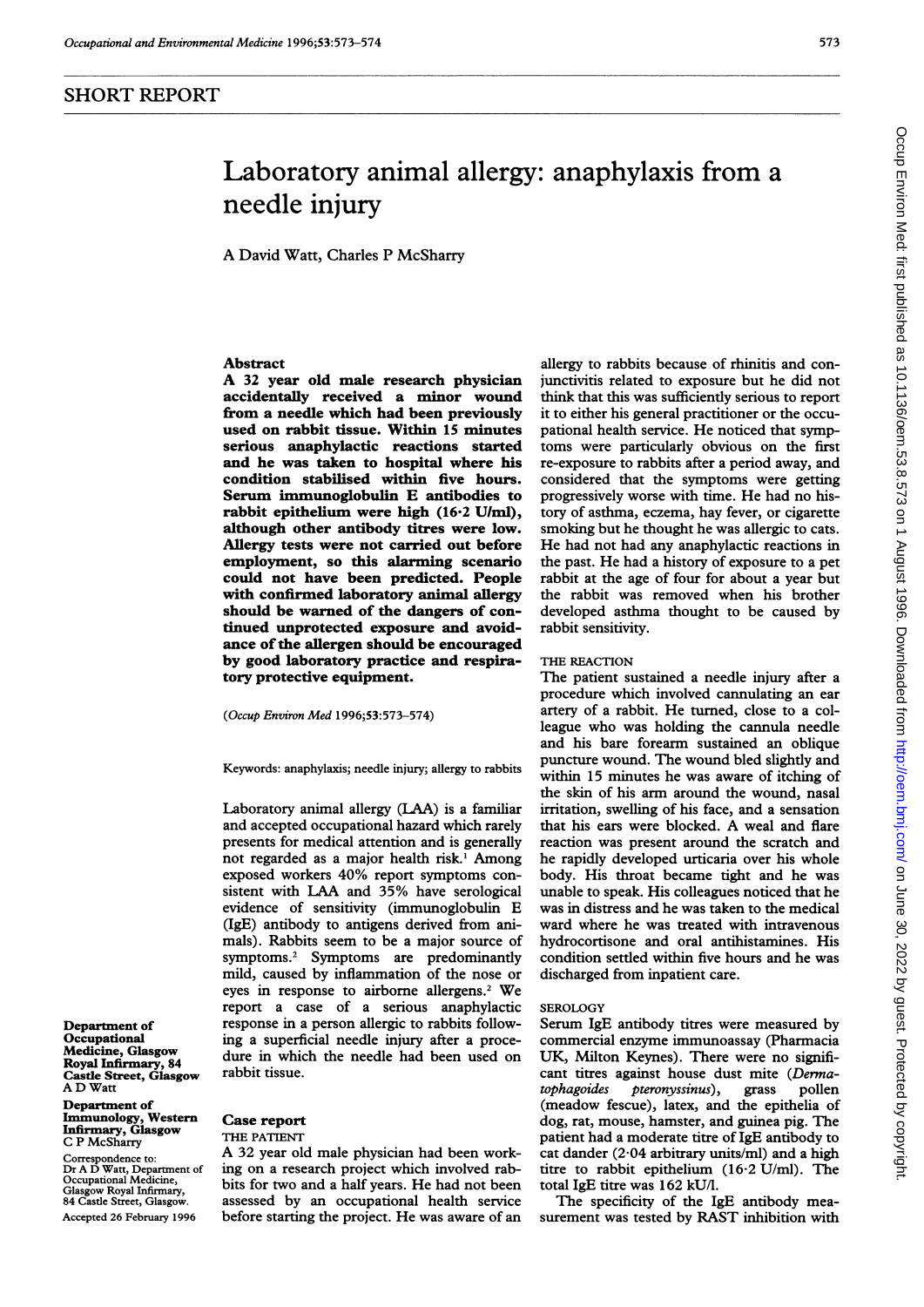## SHORT REPORT

# Laboratory animal allergy: anaphylaxis from a needle injury

A David Watt, Charles P McSharry

### Abstract

A <sup>32</sup> year old male research physician accidentally received a minor wound from a needle which had been previously used on rabbit tissue. Within 15 minutes serious anaphylactic reactions started and he was taken to hospital where his condition stabilised within five hours. Serum immunoglobulin E antibodies to rabbit epithelium were high (16-2 U/ml), although other antibody titres were low. Allergy tests were not carried out before employment, so this alarming scenario could not have been predicted. People with confirmed laboratory animal allergy should be warned of the dangers of continued unprotected exposure and avoidance of the allergen should be encouraged by good laboratory practice and respiratory protective equipment.

(Occup Environ Med 1996;53:573-574)

Keywords: anaphylaxis; needle injury; allergy to rabbits

Laboratory animal allergy (LAA) is a familiar and accepted occupational hazard which rarely presents for medical attention and is generally not regarded as <sup>a</sup> major health risk.' Among exposed workers 40% report symptoms consistent with LAA and 35% have serological evidence of sensitivity (immunoglobulin E (IgE) antibody to antigens derived from animals). Rabbits seem to be a major source of symptoms.2 Symptoms are predominantly mild, caused by inflammation of the nose or eyes in response to airborne allergens.2 We report a case of a serious anaphylactic response in a person allergic to rabbits following a superficial needle injury after a procedure in which the needle had been used on rabbit tissue.

Department of Occupational Medicine, Glasgow Royal Infirmary, 84 Castle Street, Glasgow A D Watt

Department of Immunology, Western Infirmary, Glasgow C P McSharry

Correspondence to: Dr A D Watt, Department of Occupational Medicine, Glasgow Royal Infirmary, 84 Castle Street, Glasgo

Accepted 26 February 1996

#### Case report THE PATIENT

A <sup>32</sup> year old male physician had been working on a research project which involved rabbits for two and <sup>a</sup> half years. He had not been assessed by an occupational health service before starting the project. He was aware of an

allergy to rabbits because of rhinitis and conjunctivitis related to exposure but he did not think that this was sufficiently serious to report it to either his general practitioner or the occupational health service. He noticed that symptoms were particularly obvious on the first re-exposure to rabbits after a period away, and considered that the symptoms were getting progressively worse with time. He had no history of asthma, eczema, hay fever, or cigarette smoking but he thought he was allergic to cats. He had not had any anaphylactic reactions in the past. He had <sup>a</sup> history of exposure to <sup>a</sup> pet rabbit at the age of four for about a year but the rabbit was removed when his brother developed asthma thought to be caused by rabbit sensitivity.

#### THE REACTION

The patient sustained a needle injury after a procedure which involved cannulating an ear artery of <sup>a</sup> rabbit. He turned, close to <sup>a</sup> colleague who was holding the cannula needle and his bare forearm sustained an oblique puncture wound. The wound bled slightly and within 15 minutes he was aware of itching of the skin of his arm around the wound, nasal irritation, swelling of his face, and a sensation that his ears were blocked. A weal and flare reaction was present around the scratch and he rapidly developed urticaria over his whole body. His throat became tight and he was unable to speak. His colleagues noticed that he was in distress and he was taken to the medical ward where he was treated with intravenous hydrocortisone and oral antihistamines. His condition settled within five hours and he was discharged from inpatient care.

#### SEROLOGY

Serum IgE antibody titres were measured by commercial enzyme immunoassay (Pharmacia UK, Milton Keynes). There were no significant titres against house dust mite (Derma-<br>tophagoides pteronyssinus), grass pollen pteronyssinus), grass pollen (meadow fescue), latex, and the epithelia of dog, rat, mouse, hamster, and guinea pig. The patient had a moderate titre of IgE antibody to cat dander  $(2.04$  arbitrary units/ml) and a high titre to rabbit epithelium (16-2 U/ml). The total IgE titre was 162 kU/l.

The specificity of the IgE antibody measurement was tested by RAST inhibition with

573